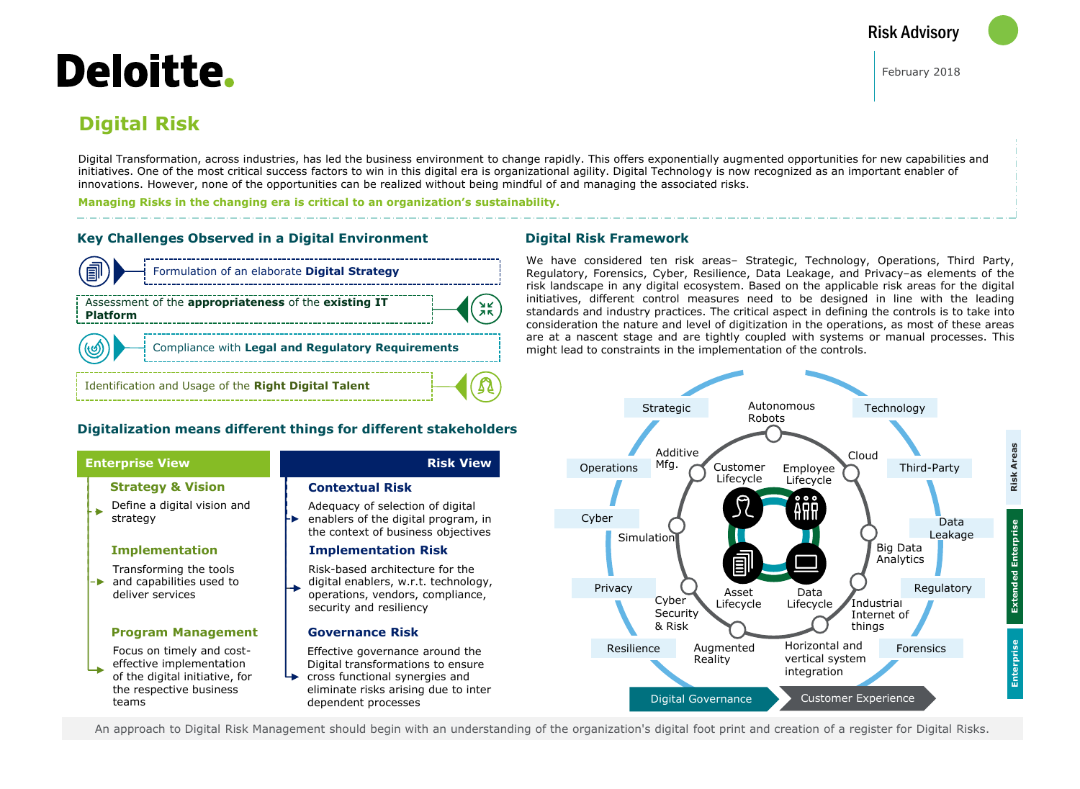# Deloitte.

## **Digital Risk**

Digital Transformation, across industries, has led the business environment to change rapidly. This offers exponentially augmented opportunities for new capabilities and initiatives. One of the most critical success factors to win in this digital era is organizational agility. Digital Technology is now recognized as an important enabler of innovations. However, none of the opportunities can be realized without being mindful of and managing the associated risks.

**Managing Risks in the changing era is critical to an organization's sustainability.**

#### **Key Challenges Observed in a Digital Environment**





#### **Digital Risk Framework**

We have considered ten risk areas– Strategic, Technology, Operations, Third Party, Regulatory, Forensics, Cyber, Resilience, Data Leakage, and Privacy–as elements of the risk landscape in any digital ecosystem. Based on the applicable risk areas for the digital initiatives, different control measures need to be designed in line with the leading standards and industry practices. The critical aspect in defining the controls is to take into consideration the nature and level of digitization in the operations, as most of these areas are at a nascent stage and are tightly coupled with systems or manual processes. This might lead to constraints in the implementation of the controls.



An approach to Digital Risk Management should begin with an understanding of the organization's digital foot print and creation of a register for Digital Risks.